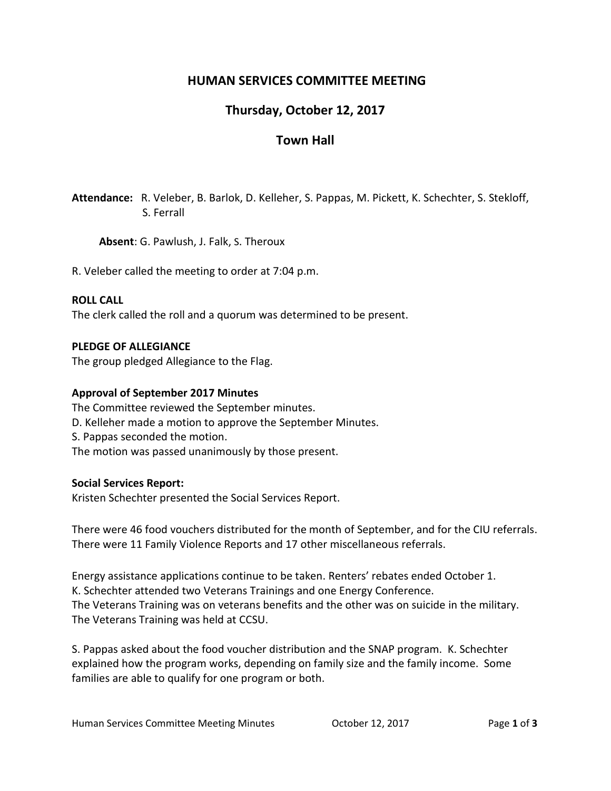## **HUMAN SERVICES COMMITTEE MEETING**

# **Thursday, October 12, 2017**

## **Town Hall**

**Attendance:** R. Veleber, B. Barlok, D. Kelleher, S. Pappas, M. Pickett, K. Schechter, S. Stekloff, S. Ferrall

**Absent**: G. Pawlush, J. Falk, S. Theroux

R. Veleber called the meeting to order at 7:04 p.m.

### **ROLL CALL**

The clerk called the roll and a quorum was determined to be present.

### **PLEDGE OF ALLEGIANCE**

The group pledged Allegiance to the Flag.

### **Approval of September 2017 Minutes**

The Committee reviewed the September minutes. D. Kelleher made a motion to approve the September Minutes. S. Pappas seconded the motion. The motion was passed unanimously by those present.

### **Social Services Report:**

Kristen Schechter presented the Social Services Report.

There were 46 food vouchers distributed for the month of September, and for the CIU referrals. There were 11 Family Violence Reports and 17 other miscellaneous referrals.

Energy assistance applications continue to be taken. Renters' rebates ended October 1. K. Schechter attended two Veterans Trainings and one Energy Conference. The Veterans Training was on veterans benefits and the other was on suicide in the military. The Veterans Training was held at CCSU.

S. Pappas asked about the food voucher distribution and the SNAP program. K. Schechter explained how the program works, depending on family size and the family income. Some families are able to qualify for one program or both.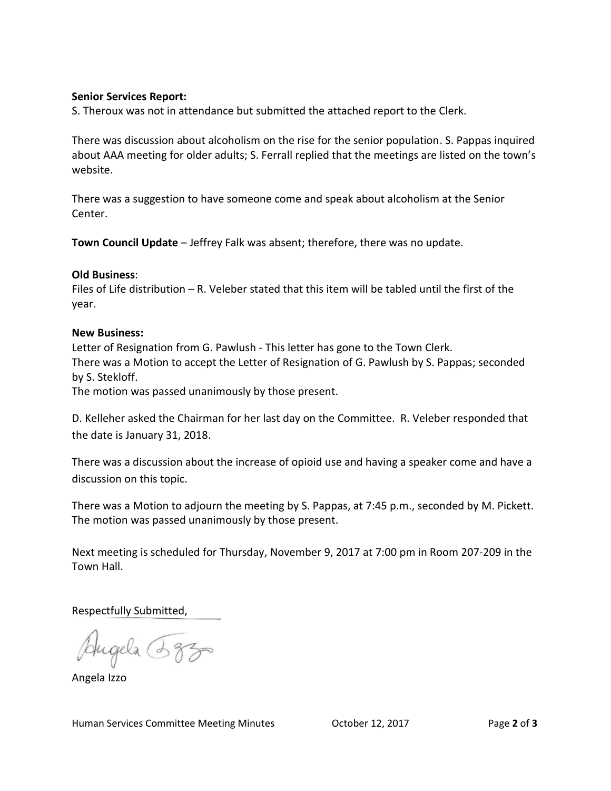#### **Senior Services Report:**

S. Theroux was not in attendance but submitted the attached report to the Clerk.

There was discussion about alcoholism on the rise for the senior population. S. Pappas inquired about AAA meeting for older adults; S. Ferrall replied that the meetings are listed on the town's website.

There was a suggestion to have someone come and speak about alcoholism at the Senior Center.

**Town Council Update** – Jeffrey Falk was absent; therefore, there was no update.

#### **Old Business**:

Files of Life distribution – R. Veleber stated that this item will be tabled until the first of the year.

#### **New Business:**

Letter of Resignation from G. Pawlush - This letter has gone to the Town Clerk. There was a Motion to accept the Letter of Resignation of G. Pawlush by S. Pappas; seconded by S. Stekloff.

The motion was passed unanimously by those present.

D. Kelleher asked the Chairman for her last day on the Committee. R. Veleber responded that the date is January 31, 2018.

There was a discussion about the increase of opioid use and having a speaker come and have a discussion on this topic.

There was a Motion to adjourn the meeting by S. Pappas, at 7:45 p.m., seconded by M. Pickett. The motion was passed unanimously by those present.

Next meeting is scheduled for Thursday, November 9, 2017 at 7:00 pm in Room 207-209 in the Town Hall.

Respectfully Submitted,

Augela 385

Angela Izzo